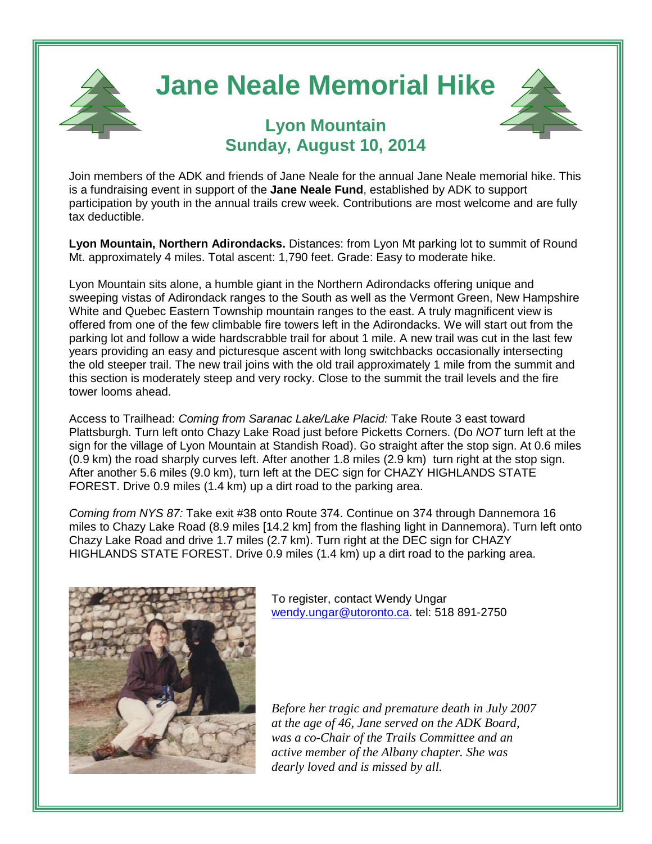

## **Jane Neale Memorial Hike**



## **Lyon Mountain Sunday, August 10, 2014**

Join members of the ADK and friends of Jane Neale for the annual Jane Neale memorial hike. This is a fundraising event in support of the **Jane Neale Fund**, established by ADK to support participation by youth in the annual trails crew week. Contributions are most welcome and are fully tax deductible.

**Lyon Mountain, Northern Adirondacks.** Distances: from Lyon Mt parking lot to summit of Round Mt. approximately 4 miles. Total ascent: 1,790 feet. Grade: Easy to moderate hike.

Lyon Mountain sits alone, a humble giant in the Northern Adirondacks offering unique and sweeping vistas of Adirondack ranges to the South as well as the Vermont Green, New Hampshire White and Quebec Eastern Township mountain ranges to the east. A truly magnificent view is offered from one of the few climbable fire towers left in the Adirondacks. We will start out from the parking lot and follow a wide hardscrabble trail for about 1 mile. A new trail was cut in the last few years providing an easy and picturesque ascent with long switchbacks occasionally intersecting the old steeper trail. The new trail joins with the old trail approximately 1 mile from the summit and this section is moderately steep and very rocky. Close to the summit the trail levels and the fire tower looms ahead.

Access to Trailhead: *Coming from Saranac Lake/Lake Placid:* Take Route 3 east toward Plattsburgh. Turn left onto Chazy Lake Road just before Picketts Corners. (Do *NOT* turn left at the sign for the village of Lyon Mountain at Standish Road). Go straight after the stop sign. At 0.6 miles (0.9 km) the road sharply curves left. After another 1.8 miles (2.9 km) turn right at the stop sign. After another 5.6 miles (9.0 km), turn left at the DEC sign for CHAZY HIGHLANDS STATE FOREST. Drive 0.9 miles (1.4 km) up a dirt road to the parking area.

*Coming from NYS 87:* Take exit #38 onto Route 374. Continue on 374 through Dannemora 16 miles to Chazy Lake Road (8.9 miles [14.2 km] from the flashing light in Dannemora). Turn left onto Chazy Lake Road and drive 1.7 miles (2.7 km). Turn right at the DEC sign for CHAZY HIGHLANDS STATE FOREST. Drive 0.9 miles (1.4 km) up a dirt road to the parking area.



To register, contact Wendy Ungar [wendy.ungar@utoronto.ca.](mailto:wendy.ungar@utoronto.ca) tel: 518 891-2750

*Before her tragic and premature death in July 2007 at the age of 46, Jane served on the ADK Board, was a co-Chair of the Trails Committee and an active member of the Albany chapter. She was dearly loved and is missed by all.*